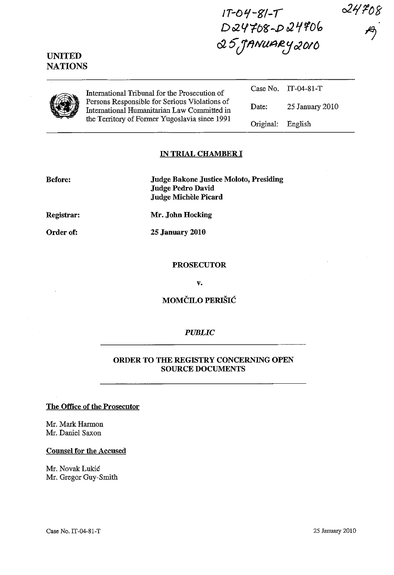$24708$ 

## UNITED **NATIONS**

International Tribunal for the Prosecution of Persons Responsible for Serious Violations of International Humanitarian Law Committed in the Territory of Former Yugoslavia since 1991 International Tribunal for the Prosecution of<br>
Persons Responsible for Serious Violations of<br>
International Humanitarian Law Committed in<br>
the Territory of Former Yugoslavia since 1901

Case No. IT-04-SI-T Original: English

 $1T-04-S1-T$ 

D*24708-D24906* 

c2 5" J/}NU~J2:J 02 *Ott>* 

#### IN TRIAL CHAMBER I

Judge Bakone Justice Moloto, Presiding Judge Pedro David Judge Michèle Picard

Registrar:

Before:

Mr. John Hocking

Order of:

25 January 2010

PROSECUTOR

v.

MOMČILO PERIŠIĆ

#### *PUBLIC*

### ORDER TO THE REGISTRY CONCERNING OPEN SOURCE DOCUMENTS

#### The Office of the Prosecutor

Mr. Mark Harmon Mr. Daniel Saxon

#### Counsel for the Accused

Mr. Novak Lukic Mr. Gregor Guy-Smith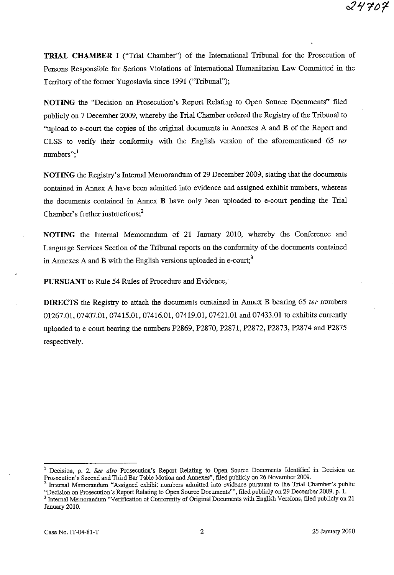**TRIAL CHAMBER I** ("Trial Chamber") of the International Tribunal for the Prosecution of Persons Responsible for Serious Violations of International Humanitarian Law Committed in the Territory of the former Yugoslavia since 1991 ('Tribunal");

**NOTING** the "Decision on Prosecution's Report Relating to Open Source Documents" filed publicly on 7 December 2009, whereby the Trial Chamber ordered the Registry of the Tribunal to "upload to e-court the copies of the original documents in Annexes A and B of the Report and CLSS to verify their conformity with the English version of the aforementioned 65 *ter*   $numbers$ ":<sup>1</sup>

**NOTING** the Registry's Internal Memorandum of 29 December 2009, stating that the documents contained in Annex A have been admitted into evidence and assigned exhibit numbers, whereas the documents contained in Annex B have only been uploaded to e-court pending the Trial Chamber's further instructions; $<sup>2</sup>$ </sup>

**NOTING** the Internal Memorandum of 21 January 2010, whereby the Conference and Language Services Section of the Tribunal reports on the conformity of the documents contained in Annexes A and B with the English versions uploaded in e-court;<sup>3</sup>

**PURSUANT** to Rule 54 Rules of Procedure and Evidence,

**DIRECTS** the Registry to attach the documents contained in Annex B bearing 65 *ter* numbers 01267.01, 07407.01, 07415.01, 07416.01, 07419.01, 07421.01 and 07433.01 to exhibits currently uploaded to e-court bearing the numbers P2869, P2870, P2871, P2872, P2873, P2874 and P2875 respectively.

**<sup>1</sup>Decision. p. 2.** *See also* **Prosecution's Report Relating to Open Source Documents Identified in Decision on**  Prosecution's Second and Third Bar Table Motion and Annexes", filed publicly on 26 November 2009.

**<sup>2</sup> Internal Memorandum "Assigned exhibit numbers admitted into evidence pursuant to the Trial Chamber's public**  "Decision on Prosecution's Report Relating to Open Source Documents"", filed publicly on 29 December 2009, p. 1.

<sup>&</sup>lt;sup>3</sup> Internal Memorandum "Verification of Conformity of Original Documents with English Versions, filed publicly on 21 January 2010.